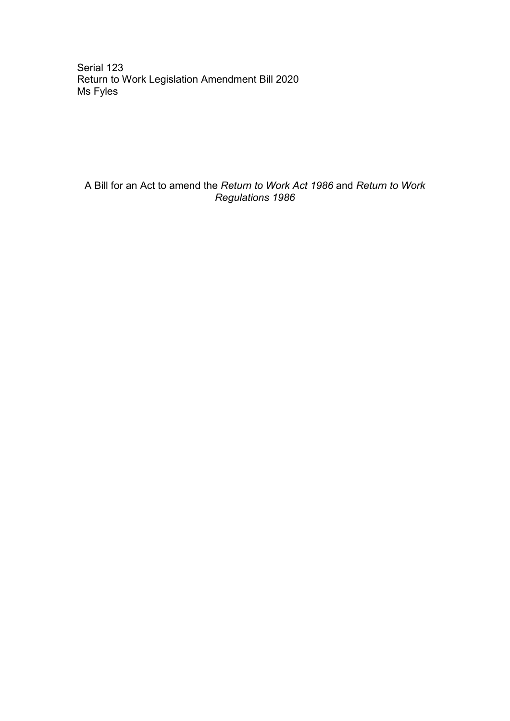Serial 123 Return to Work Legislation Amendment Bill 2020 Ms Fyles

A Bill for an Act to amend the *Return to Work Act 1986* and *Return to Work Regulations 1986*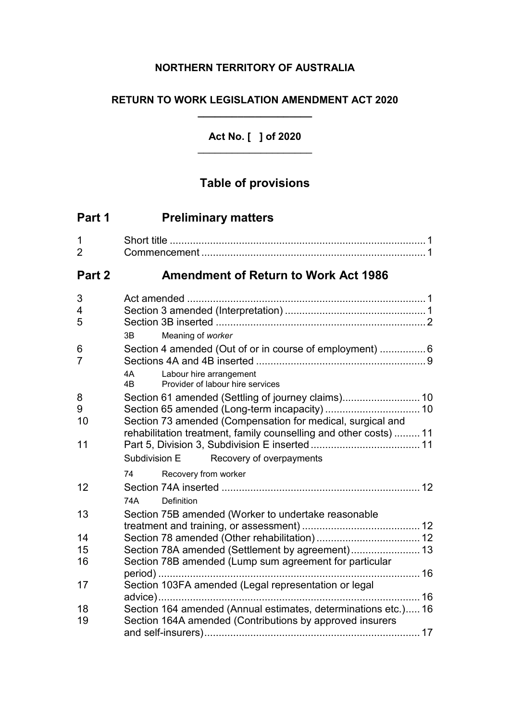## **NORTHERN TERRITORY OF AUSTRALIA**

## **RETURN TO WORK LEGISLATION AMENDMENT ACT 2020 \_\_\_\_\_\_\_\_\_\_\_\_\_\_\_\_\_\_\_\_**

## **Act No. [ ] of 2020** \_\_\_\_\_\_\_\_\_\_\_\_\_\_\_\_\_\_\_\_

# **Table of provisions**

| Part 1              | <b>Preliminary matters</b>                                                                                                 |  |
|---------------------|----------------------------------------------------------------------------------------------------------------------------|--|
| 1<br>$\overline{2}$ |                                                                                                                            |  |
| Part 2              | <b>Amendment of Return to Work Act 1986</b>                                                                                |  |
| 3                   |                                                                                                                            |  |
| 4                   |                                                                                                                            |  |
| 5                   |                                                                                                                            |  |
|                     | 3B<br>Meaning of worker                                                                                                    |  |
| 6<br>$\overline{7}$ | Section 4 amended (Out of or in course of employment)  6                                                                   |  |
|                     | 4A<br>Labour hire arrangement<br>Provider of labour hire services<br>4B                                                    |  |
| 8                   |                                                                                                                            |  |
| 9                   | Section 65 amended (Long-term incapacity)  10                                                                              |  |
| 10                  | Section 73 amended (Compensation for medical, surgical and                                                                 |  |
| 11                  | rehabilitation treatment, family counselling and other costs)  11                                                          |  |
|                     | Subdivision E<br>Recovery of overpayments                                                                                  |  |
|                     |                                                                                                                            |  |
|                     | Recovery from worker<br>74                                                                                                 |  |
| 12                  |                                                                                                                            |  |
|                     | 74A<br>Definition                                                                                                          |  |
| 13                  | Section 75B amended (Worker to undertake reasonable                                                                        |  |
| 14                  |                                                                                                                            |  |
| 15                  | Section 78A amended (Settlement by agreement) 13                                                                           |  |
| 16                  | Section 78B amended (Lump sum agreement for particular                                                                     |  |
|                     |                                                                                                                            |  |
| 17                  | Section 103FA amended (Legal representation or legal                                                                       |  |
|                     |                                                                                                                            |  |
| 18<br>19            | Section 164 amended (Annual estimates, determinations etc.) 16<br>Section 164A amended (Contributions by approved insurers |  |
|                     |                                                                                                                            |  |
|                     |                                                                                                                            |  |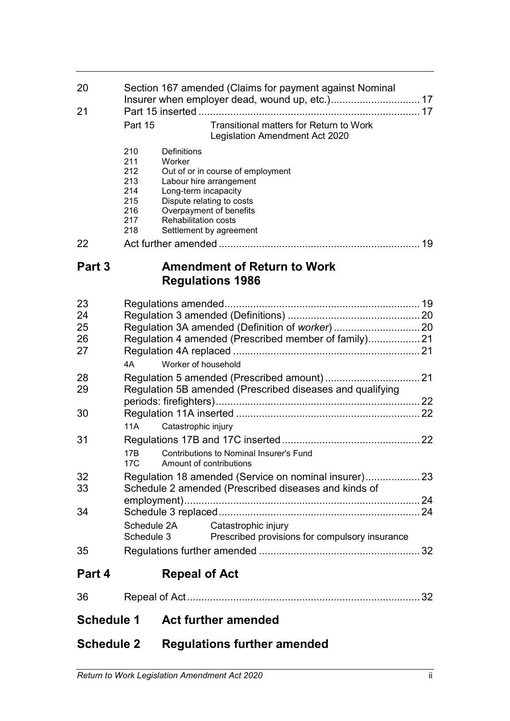| 20         |                                                           |                             | Section 167 amended (Claims for payment against Nominal                   |  |
|------------|-----------------------------------------------------------|-----------------------------|---------------------------------------------------------------------------|--|
| 21         |                                                           |                             |                                                                           |  |
|            | Part 15                                                   |                             | Transitional matters for Return to Work<br>Legislation Amendment Act 2020 |  |
|            | 210<br>211<br>212                                         | Definitions<br>Worker       | Out of or in course of employment                                         |  |
|            | 213<br>214<br>215                                         | Long-term incapacity        | Labour hire arrangement<br>Dispute relating to costs                      |  |
|            | 216<br>217<br>218                                         | <b>Rehabilitation costs</b> | Overpayment of benefits<br>Settlement by agreement                        |  |
| 22         |                                                           |                             |                                                                           |  |
| Part 3     |                                                           |                             | <b>Amendment of Return to Work</b><br><b>Regulations 1986</b>             |  |
| 23         |                                                           |                             |                                                                           |  |
| 24         |                                                           |                             |                                                                           |  |
| 25         |                                                           |                             |                                                                           |  |
| 26         |                                                           |                             | Regulation 4 amended (Prescribed member of family) 21                     |  |
| 27         |                                                           |                             |                                                                           |  |
|            | 4A                                                        | Worker of household         |                                                                           |  |
| 28         |                                                           |                             |                                                                           |  |
| 29         | Regulation 5B amended (Prescribed diseases and qualifying |                             |                                                                           |  |
| 30         |                                                           |                             |                                                                           |  |
|            | 11A                                                       | Catastrophic injury         |                                                                           |  |
| 31         |                                                           |                             |                                                                           |  |
|            | 17B<br>17C                                                |                             | <b>Contributions to Nominal Insurer's Fund</b><br>Amount of contributions |  |
| 32         |                                                           |                             | Regulation 18 amended (Service on nominal insurer) 23                     |  |
| 33         |                                                           |                             | Schedule 2 amended (Prescribed diseases and kinds of                      |  |
|            |                                                           |                             |                                                                           |  |
| 34         |                                                           |                             |                                                                           |  |
|            | Schedule 3                                                | Schedule 2A                 | Catastrophic injury<br>Prescribed provisions for compulsory insurance     |  |
| 35         |                                                           |                             |                                                                           |  |
| Part 4     |                                                           | <b>Repeal of Act</b>        |                                                                           |  |
| 36         |                                                           |                             |                                                                           |  |
| Schedule 1 |                                                           |                             | <b>Act further amended</b>                                                |  |

**Schedule 2 Regulations further amended**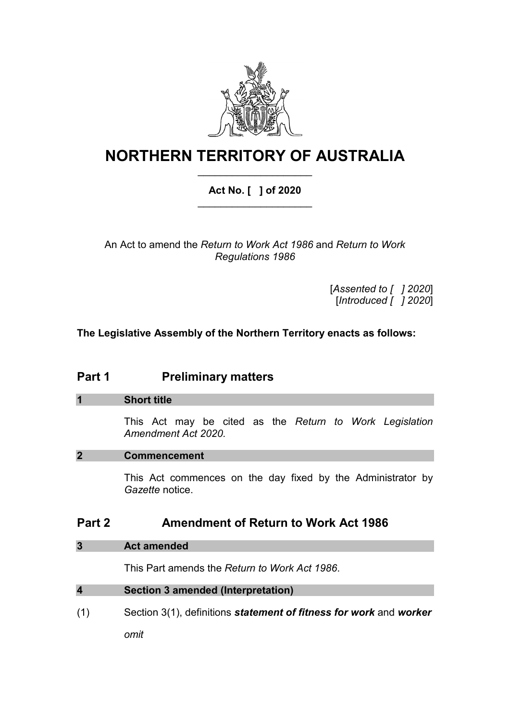

# **NORTHERN TERRITORY OF AUSTRALIA** \_\_\_\_\_\_\_\_\_\_\_\_\_\_\_\_\_\_\_\_

## **Act No. [ ] of 2020** \_\_\_\_\_\_\_\_\_\_\_\_\_\_\_\_\_\_\_\_

An Act to amend the *Return to Work Act 1986* and *Return to Work Regulations 1986*

> [*Assented to [ ] 2020*] [*Introduced [ ] 2020*]

**The Legislative Assembly of the Northern Territory enacts as follows:**

## **Part 1 Preliminary matters**

## **1 Short title**

This Act may be cited as the *Return to Work Legislation Amendment Act 2020.*

## **2 Commencement**

This Act commences on the day fixed by the Administrator by *Gazette* notice.

## **Part 2 Amendment of Return to Work Act 1986**

## **3 Act amended**

This Part amends the *Return to Work Act 1986*.

## **4 Section 3 amended (Interpretation)**

(1) Section 3(1), definitions *statement of fitness for work* and *worker*

*omit*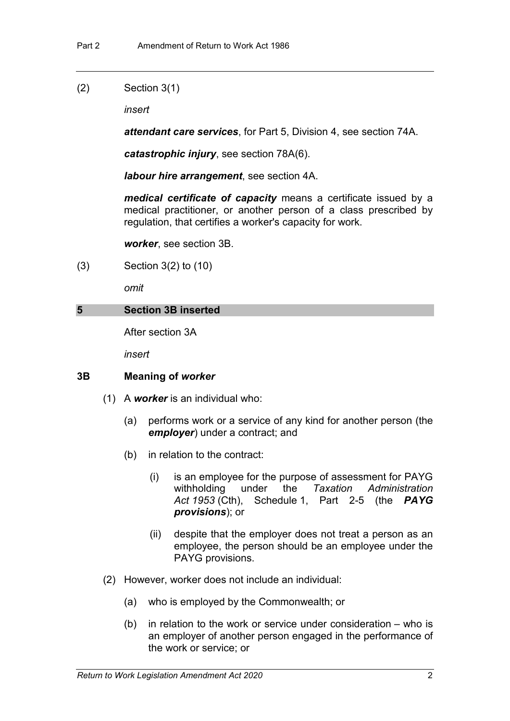## (2) Section 3(1)

*insert*

*attendant care services*, for Part 5, Division 4, see section 74A.

*catastrophic injury*, see section 78A(6).

*labour hire arrangement*, see section 4A.

*medical certificate of capacity* means a certificate issued by a medical practitioner, or another person of a class prescribed by regulation, that certifies a worker's capacity for work.

*worker*, see section 3B.

(3) Section 3(2) to (10)

*omit*

## **5 Section 3B inserted**

After section 3A

*insert*

## **3B Meaning of** *worker*

- (1) A *worker* is an individual who:
	- (a) performs work or a service of any kind for another person (the *employer*) under a contract; and
	- (b) in relation to the contract:
		- (i) is an employee for the purpose of assessment for PAYG withholding under the *Taxation Administration Act 1953* (Cth), Schedule 1, Part 2-5 (the *PAYG provisions*); or
		- (ii) despite that the employer does not treat a person as an employee, the person should be an employee under the PAYG provisions.
- (2) However, worker does not include an individual:
	- (a) who is employed by the Commonwealth; or
	- (b) in relation to the work or service under consideration who is an employer of another person engaged in the performance of the work or service; or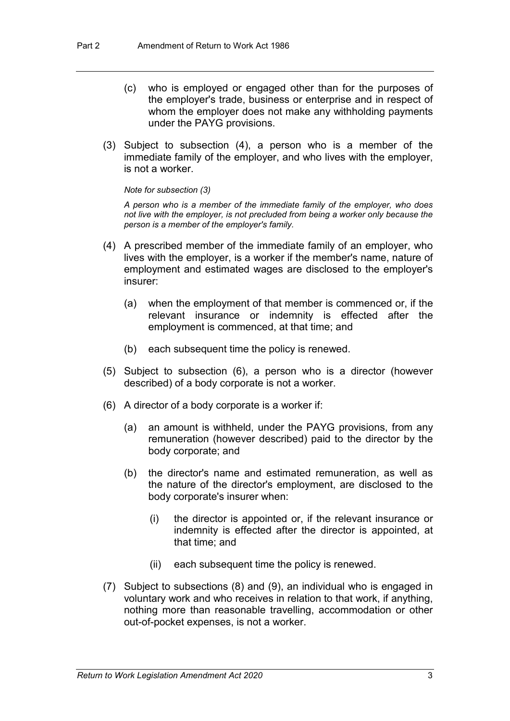- (c) who is employed or engaged other than for the purposes of the employer's trade, business or enterprise and in respect of whom the employer does not make any withholding payments under the PAYG provisions.
- (3) Subject to subsection (4), a person who is a member of the immediate family of the employer, and who lives with the employer, is not a worker.

*Note for subsection (3)*

*A person who is a member of the immediate family of the employer, who does not live with the employer, is not precluded from being a worker only because the person is a member of the employer's family.*

- (4) A prescribed member of the immediate family of an employer, who lives with the employer, is a worker if the member's name, nature of employment and estimated wages are disclosed to the employer's insurer:
	- (a) when the employment of that member is commenced or, if the relevant insurance or indemnity is effected after the employment is commenced, at that time; and
	- (b) each subsequent time the policy is renewed.
- (5) Subject to subsection (6), a person who is a director (however described) of a body corporate is not a worker.
- (6) A director of a body corporate is a worker if:
	- (a) an amount is withheld, under the PAYG provisions, from any remuneration (however described) paid to the director by the body corporate; and
	- (b) the director's name and estimated remuneration, as well as the nature of the director's employment, are disclosed to the body corporate's insurer when:
		- (i) the director is appointed or, if the relevant insurance or indemnity is effected after the director is appointed, at that time; and
		- (ii) each subsequent time the policy is renewed.
- (7) Subject to subsections (8) and (9), an individual who is engaged in voluntary work and who receives in relation to that work, if anything, nothing more than reasonable travelling, accommodation or other out-of-pocket expenses, is not a worker.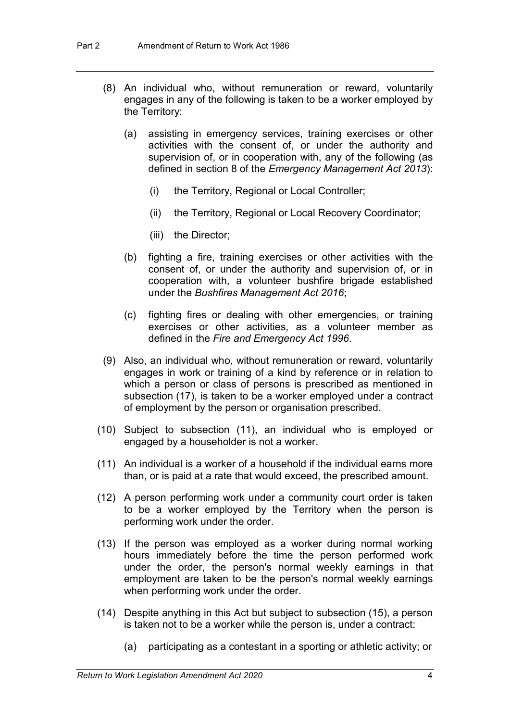- (8) An individual who, without remuneration or reward, voluntarily engages in any of the following is taken to be a worker employed by the Territory:
	- (a) assisting in emergency services, training exercises or other activities with the consent of, or under the authority and supervision of, or in cooperation with, any of the following (as defined in section 8 of the *Emergency Management Act 2013*):
		- (i) the Territory, Regional or Local Controller;
		- (ii) the Territory, Regional or Local Recovery Coordinator;
		- (iii) the Director;
	- (b) fighting a fire, training exercises or other activities with the consent of, or under the authority and supervision of, or in cooperation with, a volunteer bushfire brigade established under the *Bushfires Management Act 2016*;
	- (c) fighting fires or dealing with other emergencies, or training exercises or other activities, as a volunteer member as defined in the *Fire and Emergency Act 1996*.
- (9) Also, an individual who, without remuneration or reward, voluntarily engages in work or training of a kind by reference or in relation to which a person or class of persons is prescribed as mentioned in subsection (17), is taken to be a worker employed under a contract of employment by the person or organisation prescribed.
- (10) Subject to subsection (11), an individual who is employed or engaged by a householder is not a worker.
- (11) An individual is a worker of a household if the individual earns more than, or is paid at a rate that would exceed, the prescribed amount.
- (12) A person performing work under a community court order is taken to be a worker employed by the Territory when the person is performing work under the order.
- (13) If the person was employed as a worker during normal working hours immediately before the time the person performed work under the order, the person's normal weekly earnings in that employment are taken to be the person's normal weekly earnings when performing work under the order.
- (14) Despite anything in this Act but subject to subsection (15), a person is taken not to be a worker while the person is, under a contract:
	- (a) participating as a contestant in a sporting or athletic activity; or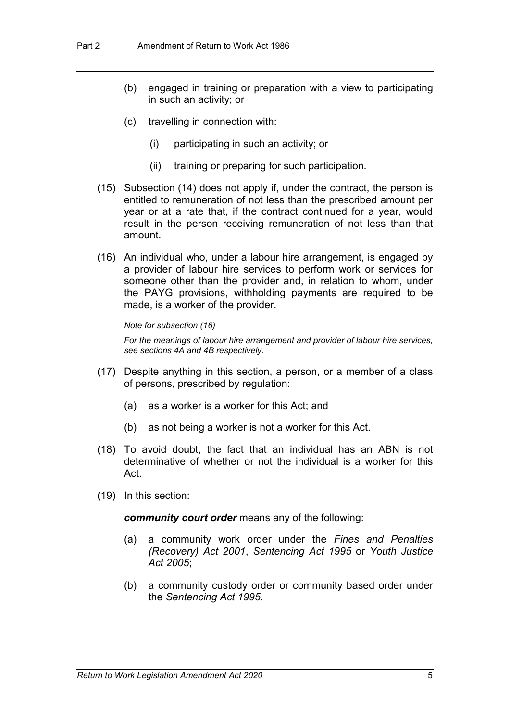- (b) engaged in training or preparation with a view to participating in such an activity; or
- (c) travelling in connection with:
	- (i) participating in such an activity; or
	- (ii) training or preparing for such participation.
- (15) Subsection (14) does not apply if, under the contract, the person is entitled to remuneration of not less than the prescribed amount per year or at a rate that, if the contract continued for a year, would result in the person receiving remuneration of not less than that amount.
- (16) An individual who, under a labour hire arrangement, is engaged by a provider of labour hire services to perform work or services for someone other than the provider and, in relation to whom, under the PAYG provisions, withholding payments are required to be made, is a worker of the provider.

#### *Note for subsection (16)*

*For the meanings of labour hire arrangement and provider of labour hire services, see sections 4A and 4B respectively.*

- (17) Despite anything in this section, a person, or a member of a class of persons, prescribed by regulation:
	- (a) as a worker is a worker for this Act; and
	- (b) as not being a worker is not a worker for this Act.
- (18) To avoid doubt, the fact that an individual has an ABN is not determinative of whether or not the individual is a worker for this Act.
- (19) In this section:

*community court order* means any of the following:

- (a) a community work order under the *Fines and Penalties (Recovery) Act 2001*, *Sentencing Act 1995* or *Youth Justice Act 2005*;
- (b) a community custody order or community based order under the *Sentencing Act 1995*.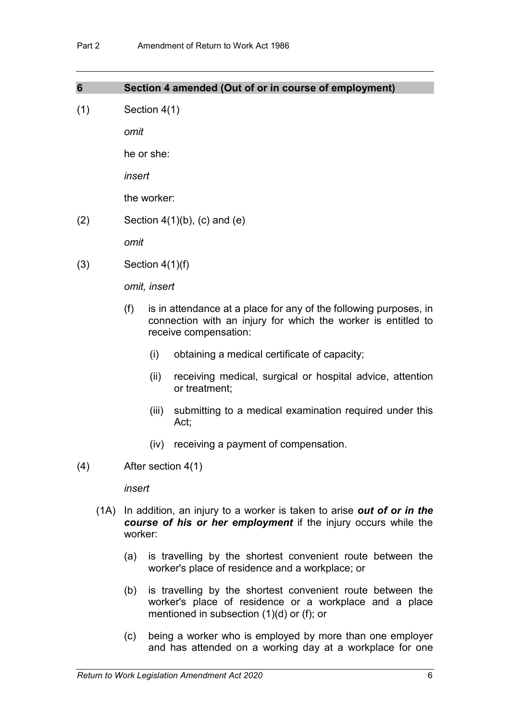| (1) | Section 4(1) |  |  |  |
|-----|--------------|--|--|--|
|     | omit         |  |  |  |
|     | he or she:   |  |  |  |
|     | insert       |  |  |  |
|     | the worker:  |  |  |  |

**6 Section 4 amended (Out of or in course of employment)**

 $(2)$  Section  $4(1)(b)$ ,  $(c)$  and  $(e)$ 

*omit*

 $(3)$  Section 4(1)(f)

*omit, insert*

- (f) is in attendance at a place for any of the following purposes, in connection with an injury for which the worker is entitled to receive compensation:
	- (i) obtaining a medical certificate of capacity;
	- (ii) receiving medical, surgical or hospital advice, attention or treatment;
	- (iii) submitting to a medical examination required under this Act;
	- (iv) receiving a payment of compensation.
- (4) After section 4(1)

*insert*

- (1A) In addition, an injury to a worker is taken to arise *out of or in the course of his or her employment* if the injury occurs while the worker:
	- (a) is travelling by the shortest convenient route between the worker's place of residence and a workplace; or
	- (b) is travelling by the shortest convenient route between the worker's place of residence or a workplace and a place mentioned in subsection (1)(d) or (f); or
	- (c) being a worker who is employed by more than one employer and has attended on a working day at a workplace for one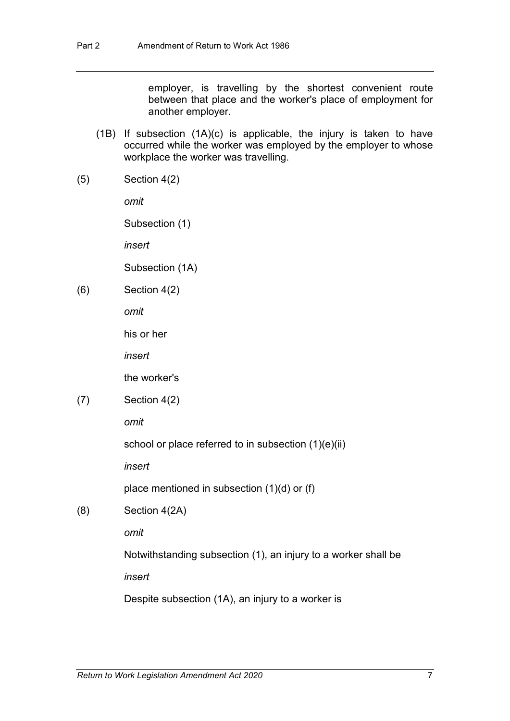employer, is travelling by the shortest convenient route between that place and the worker's place of employment for another employer.

- (1B) If subsection (1A)(c) is applicable, the injury is taken to have occurred while the worker was employed by the employer to whose workplace the worker was travelling.
- (5) Section 4(2)

*omit*

Subsection (1)

*insert*

Subsection (1A)

(6) Section 4(2)

*omit*

his or her

*insert*

the worker's

 $(7)$  Section 4 $(2)$ 

*omit*

school or place referred to in subsection (1)(e)(ii)

*insert*

place mentioned in subsection (1)(d) or (f)

(8) Section 4(2A)

*omit*

Notwithstanding subsection (1), an injury to a worker shall be

*insert*

Despite subsection (1A), an injury to a worker is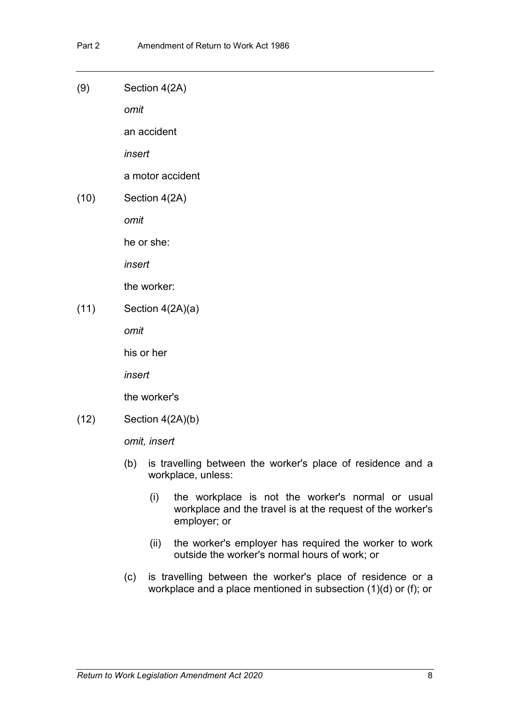(9) Section 4(2A)

*omit*

an accident

*insert*

a motor accident

(10) Section 4(2A)

*omit*

he or she:

*insert*

the worker:

 $(11)$  Section 4(2A)(a)

*omit*

his or her

*insert*

the worker's

(12) Section 4(2A)(b)

*omit, insert*

- (b) is travelling between the worker's place of residence and a workplace, unless:
	- (i) the workplace is not the worker's normal or usual workplace and the travel is at the request of the worker's employer; or
	- (ii) the worker's employer has required the worker to work outside the worker's normal hours of work; or
- (c) is travelling between the worker's place of residence or a workplace and a place mentioned in subsection (1)(d) or (f); or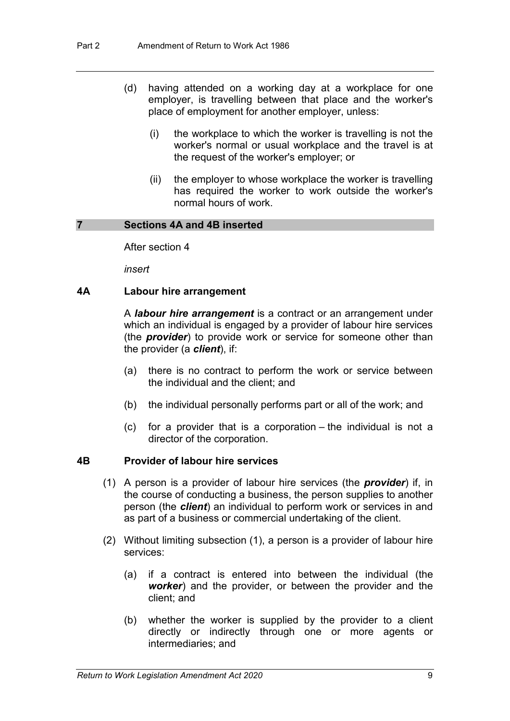- (d) having attended on a working day at a workplace for one employer, is travelling between that place and the worker's place of employment for another employer, unless:
	- (i) the workplace to which the worker is travelling is not the worker's normal or usual workplace and the travel is at the request of the worker's employer; or
	- (ii) the employer to whose workplace the worker is travelling has required the worker to work outside the worker's normal hours of work.

## **7 Sections 4A and 4B inserted**

After section 4

*insert*

### **4A Labour hire arrangement**

A *labour hire arrangement* is a contract or an arrangement under which an individual is engaged by a provider of labour hire services (the *provider*) to provide work or service for someone other than the provider (a *client*), if:

- (a) there is no contract to perform the work or service between the individual and the client; and
- (b) the individual personally performs part or all of the work; and
- (c) for a provider that is a corporation the individual is not a director of the corporation.

### **4B Provider of labour hire services**

- (1) A person is a provider of labour hire services (the *provider*) if, in the course of conducting a business, the person supplies to another person (the *client*) an individual to perform work or services in and as part of a business or commercial undertaking of the client.
- (2) Without limiting subsection (1), a person is a provider of labour hire services:
	- (a) if a contract is entered into between the individual (the *worker*) and the provider, or between the provider and the client; and
	- (b) whether the worker is supplied by the provider to a client directly or indirectly through one or more agents or intermediaries; and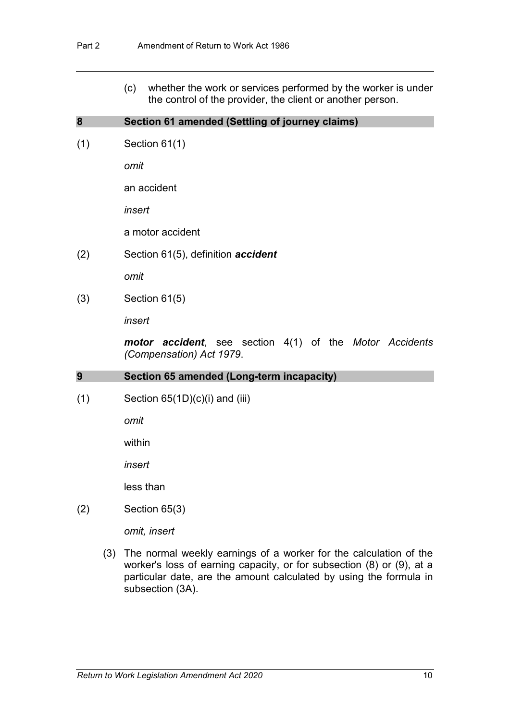(c) whether the work or services performed by the worker is under the control of the provider, the client or another person.

### **8 Section 61 amended (Settling of journey claims)**

(1) Section 61(1)

*omit*

an accident

*insert*

a motor accident

(2) Section 61(5), definition *accident*

*omit*

(3) Section 61(5)

*insert*

*motor accident*, see section 4(1) of the *Motor Accidents (Compensation) Act 1979*.

#### **9 Section 65 amended (Long-term incapacity)**

 $(1)$  Section 65 $(1D)(c)(i)$  and  $(iii)$ 

*omit*

within

*insert*

less than

(2) Section 65(3)

*omit, insert*

(3) The normal weekly earnings of a worker for the calculation of the worker's loss of earning capacity, or for subsection (8) or (9), at a particular date, are the amount calculated by using the formula in subsection (3A).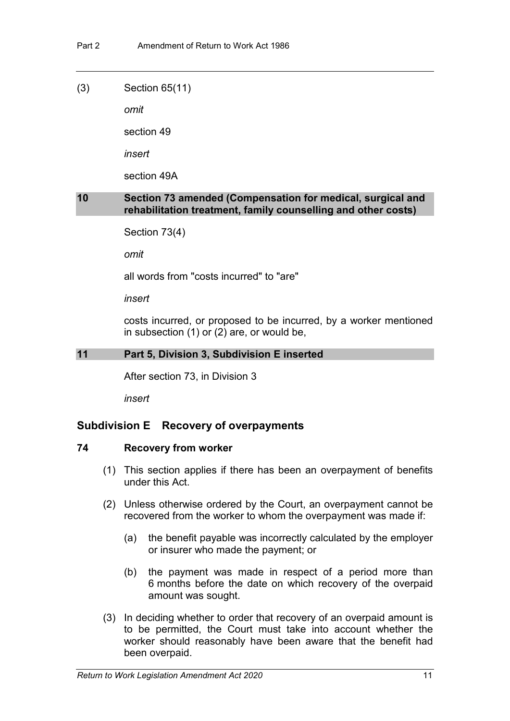(3) Section 65(11)

*omit*

section 49

*insert* 

section 49A

## **10 Section 73 amended (Compensation for medical, surgical and rehabilitation treatment, family counselling and other costs)**

Section 73(4)

*omit*

all words from "costs incurred" to "are"

*insert*

costs incurred, or proposed to be incurred, by a worker mentioned in subsection (1) or (2) are, or would be,

## **11 Part 5, Division 3, Subdivision E inserted**

After section 73, in Division 3

*insert*

## **Subdivision E Recovery of overpayments**

### **74 Recovery from worker**

- (1) This section applies if there has been an overpayment of benefits under this Act.
- (2) Unless otherwise ordered by the Court, an overpayment cannot be recovered from the worker to whom the overpayment was made if:
	- (a) the benefit payable was incorrectly calculated by the employer or insurer who made the payment; or
	- (b) the payment was made in respect of a period more than 6 months before the date on which recovery of the overpaid amount was sought.
- (3) In deciding whether to order that recovery of an overpaid amount is to be permitted, the Court must take into account whether the worker should reasonably have been aware that the benefit had been overpaid.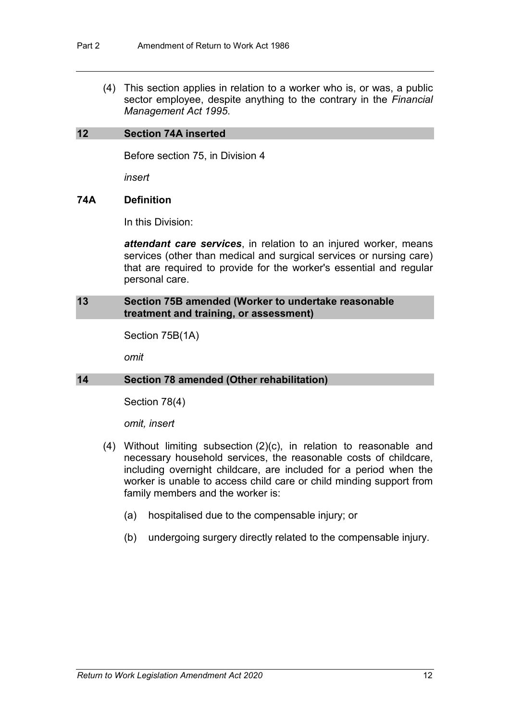(4) This section applies in relation to a worker who is, or was, a public sector employee, despite anything to the contrary in the *Financial Management Act 1995*.

## **12 Section 74A inserted**

Before section 75, in Division 4

*insert*

## **74A Definition**

In this Division:

*attendant care services*, in relation to an injured worker, means services (other than medical and surgical services or nursing care) that are required to provide for the worker's essential and regular personal care.

## **13 Section 75B amended (Worker to undertake reasonable treatment and training, or assessment)**

Section 75B(1A)

*omit*

## **14 Section 78 amended (Other rehabilitation)**

Section 78(4)

*omit, insert*

- (4) Without limiting subsection (2)(c), in relation to reasonable and necessary household services, the reasonable costs of childcare, including overnight childcare, are included for a period when the worker is unable to access child care or child minding support from family members and the worker is:
	- (a) hospitalised due to the compensable injury; or
	- (b) undergoing surgery directly related to the compensable injury.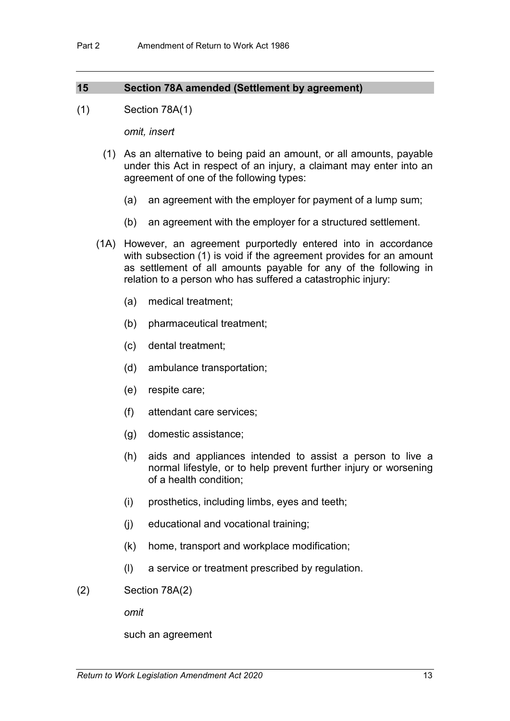## **15 Section 78A amended (Settlement by agreement)**

(1) Section 78A(1)

*omit, insert*

- (1) As an alternative to being paid an amount, or all amounts, payable under this Act in respect of an injury, a claimant may enter into an agreement of one of the following types:
	- (a) an agreement with the employer for payment of a lump sum;
	- (b) an agreement with the employer for a structured settlement.
- (1A) However, an agreement purportedly entered into in accordance with subsection (1) is void if the agreement provides for an amount as settlement of all amounts payable for any of the following in relation to a person who has suffered a catastrophic injury:
	- (a) medical treatment;
	- (b) pharmaceutical treatment;
	- (c) dental treatment;
	- (d) ambulance transportation;
	- (e) respite care;
	- (f) attendant care services;
	- (g) domestic assistance;
	- (h) aids and appliances intended to assist a person to live a normal lifestyle, or to help prevent further injury or worsening of a health condition;
	- (i) prosthetics, including limbs, eyes and teeth;
	- (j) educational and vocational training;
	- (k) home, transport and workplace modification;
	- (l) a service or treatment prescribed by regulation.
- (2) Section 78A(2)

*omit*

such an agreement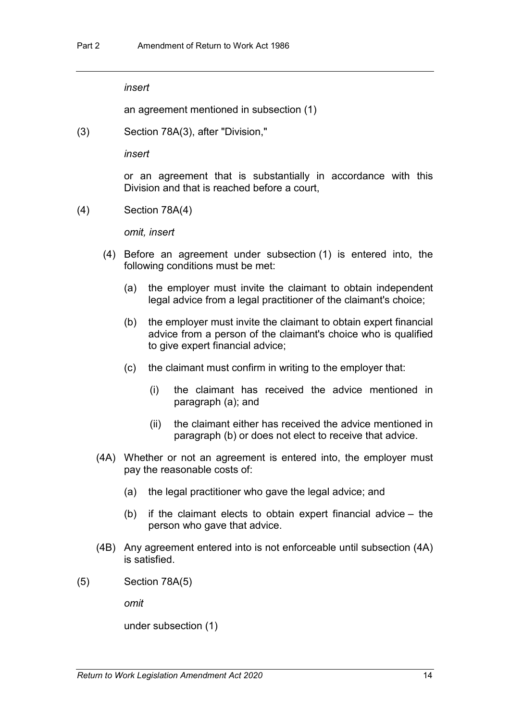*insert*

an agreement mentioned in subsection (1)

(3) Section 78A(3), after "Division,"

*insert*

or an agreement that is substantially in accordance with this Division and that is reached before a court,

(4) Section 78A(4)

*omit, insert*

- (4) Before an agreement under subsection (1) is entered into, the following conditions must be met:
	- (a) the employer must invite the claimant to obtain independent legal advice from a legal practitioner of the claimant's choice;
	- (b) the employer must invite the claimant to obtain expert financial advice from a person of the claimant's choice who is qualified to give expert financial advice;
	- (c) the claimant must confirm in writing to the employer that:
		- (i) the claimant has received the advice mentioned in paragraph (a); and
		- (ii) the claimant either has received the advice mentioned in paragraph (b) or does not elect to receive that advice.
- (4A) Whether or not an agreement is entered into, the employer must pay the reasonable costs of:
	- (a) the legal practitioner who gave the legal advice; and
	- (b) if the claimant elects to obtain expert financial advice the person who gave that advice.
- (4B) Any agreement entered into is not enforceable until subsection (4A) is satisfied.
- (5) Section 78A(5)

*omit*

under subsection (1)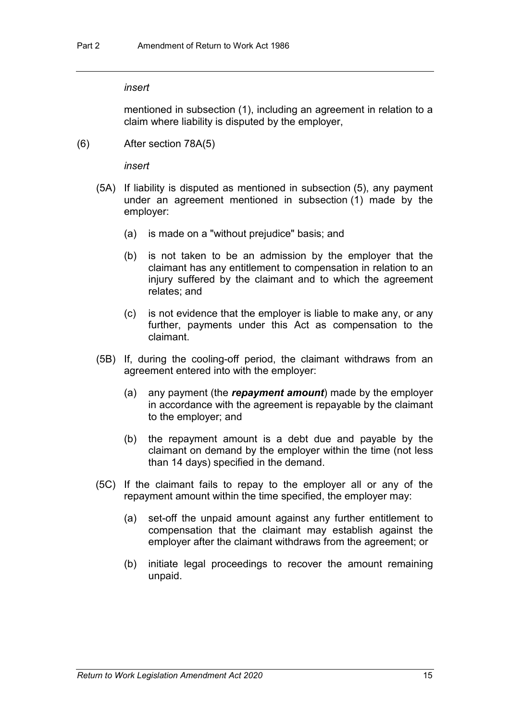#### *insert*

mentioned in subsection (1), including an agreement in relation to a claim where liability is disputed by the employer,

(6) After section 78A(5)

*insert*

- (5A) If liability is disputed as mentioned in subsection (5), any payment under an agreement mentioned in subsection (1) made by the employer:
	- (a) is made on a "without prejudice" basis; and
	- (b) is not taken to be an admission by the employer that the claimant has any entitlement to compensation in relation to an injury suffered by the claimant and to which the agreement relates; and
	- (c) is not evidence that the employer is liable to make any, or any further, payments under this Act as compensation to the claimant.
- (5B) If, during the cooling-off period, the claimant withdraws from an agreement entered into with the employer:
	- (a) any payment (the *repayment amount*) made by the employer in accordance with the agreement is repayable by the claimant to the employer; and
	- (b) the repayment amount is a debt due and payable by the claimant on demand by the employer within the time (not less than 14 days) specified in the demand.
- (5C) If the claimant fails to repay to the employer all or any of the repayment amount within the time specified, the employer may:
	- (a) set-off the unpaid amount against any further entitlement to compensation that the claimant may establish against the employer after the claimant withdraws from the agreement; or
	- (b) initiate legal proceedings to recover the amount remaining unpaid.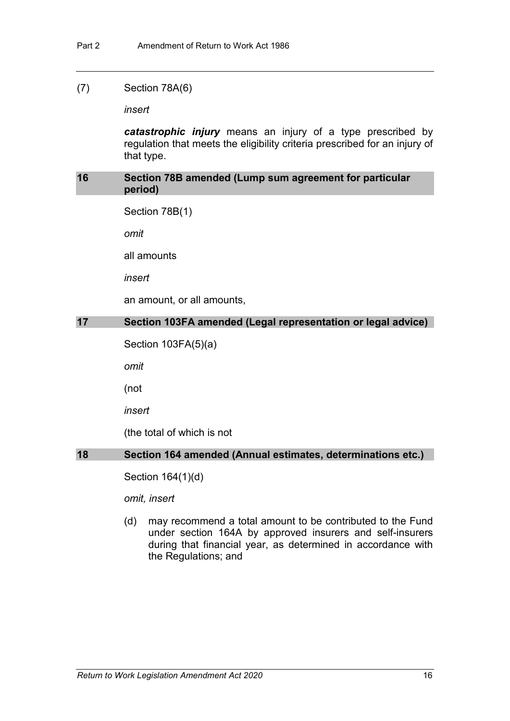## (7) Section 78A(6)

*insert*

*catastrophic injury* means an injury of a type prescribed by regulation that meets the eligibility criteria prescribed for an injury of that type.

## **16 Section 78B amended (Lump sum agreement for particular period)**

Section 78B(1)

*omit*

all amounts

*insert*

an amount, or all amounts,

## **17 Section 103FA amended (Legal representation or legal advice)**

Section 103FA(5)(a)

*omit*

(not

*insert*

(the total of which is not

## **18 Section 164 amended (Annual estimates, determinations etc.)**

Section 164(1)(d)

*omit, insert*

(d) may recommend a total amount to be contributed to the Fund under section 164A by approved insurers and self-insurers during that financial year, as determined in accordance with the Regulations; and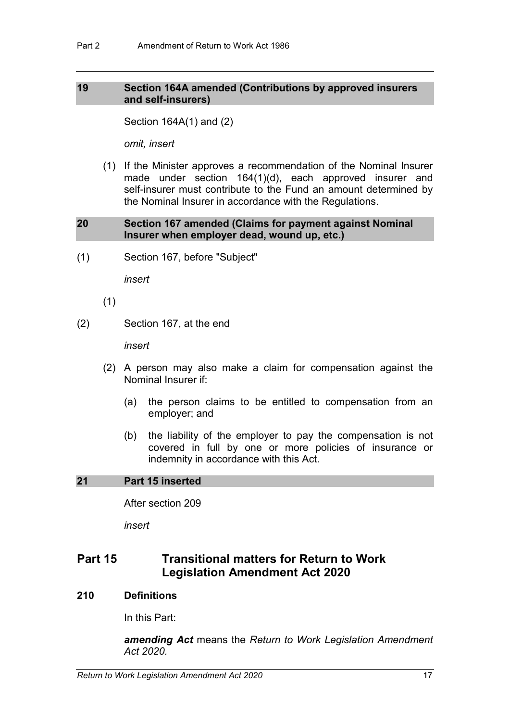## **19 Section 164A amended (Contributions by approved insurers and self-insurers)**

Section 164A(1) and (2)

*omit, insert*

(1) If the Minister approves a recommendation of the Nominal Insurer made under section 164(1)(d), each approved insurer and self-insurer must contribute to the Fund an amount determined by the Nominal Insurer in accordance with the Regulations.

## **20 Section 167 amended (Claims for payment against Nominal Insurer when employer dead, wound up, etc.)**

(1) Section 167, before "Subject"

*insert*

- (1)
- (2) Section 167, at the end

*insert*

- (2) A person may also make a claim for compensation against the Nominal Insurer if:
	- (a) the person claims to be entitled to compensation from an employer; and
	- (b) the liability of the employer to pay the compensation is not covered in full by one or more policies of insurance or indemnity in accordance with this Act.

## **21 Part 15 inserted**

After section 209

*insert*

## **Part 15 Transitional matters for Return to Work Legislation Amendment Act 2020**

## **210 Definitions**

In this Part:

*amending Act* means the *Return to Work Legislation Amendment Act 2020.*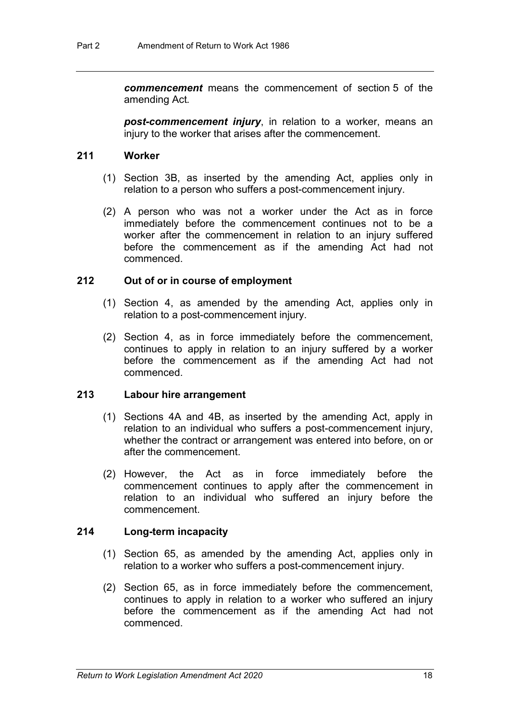*commencement* means the commencement of section 5 of the amending Act*.*

*post-commencement injury*, in relation to a worker, means an injury to the worker that arises after the commencement.

## **211 Worker**

- (1) Section 3B, as inserted by the amending Act, applies only in relation to a person who suffers a post-commencement injury.
- (2) A person who was not a worker under the Act as in force immediately before the commencement continues not to be a worker after the commencement in relation to an injury suffered before the commencement as if the amending Act had not commenced.

## **212 Out of or in course of employment**

- (1) Section 4, as amended by the amending Act, applies only in relation to a post-commencement injury.
- (2) Section 4, as in force immediately before the commencement, continues to apply in relation to an injury suffered by a worker before the commencement as if the amending Act had not commenced.

### **213 Labour hire arrangement**

- (1) Sections 4A and 4B, as inserted by the amending Act, apply in relation to an individual who suffers a post-commencement injury, whether the contract or arrangement was entered into before, on or after the commencement.
- (2) However, the Act as in force immediately before the commencement continues to apply after the commencement in relation to an individual who suffered an injury before the commencement.

### **214 Long-term incapacity**

- (1) Section 65, as amended by the amending Act, applies only in relation to a worker who suffers a post-commencement injury.
- (2) Section 65, as in force immediately before the commencement, continues to apply in relation to a worker who suffered an injury before the commencement as if the amending Act had not commenced.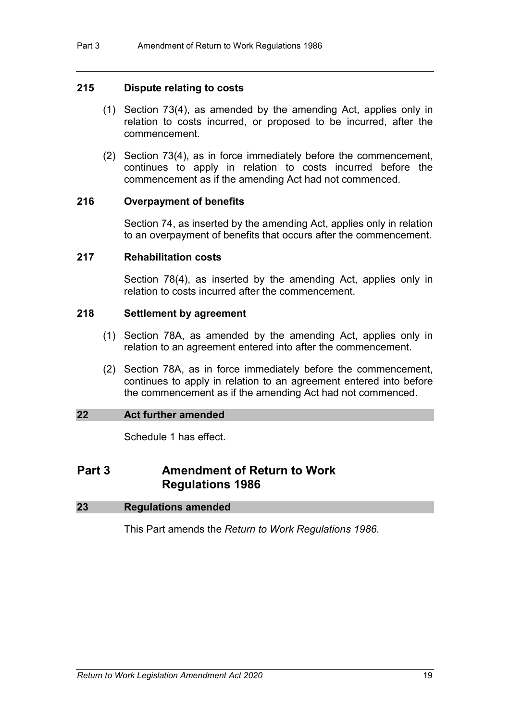## **215 Dispute relating to costs**

- (1) Section 73(4), as amended by the amending Act, applies only in relation to costs incurred, or proposed to be incurred, after the commencement.
- (2) Section 73(4), as in force immediately before the commencement, continues to apply in relation to costs incurred before the commencement as if the amending Act had not commenced.

## **216 Overpayment of benefits**

Section 74, as inserted by the amending Act, applies only in relation to an overpayment of benefits that occurs after the commencement.

## **217 Rehabilitation costs**

Section 78(4), as inserted by the amending Act, applies only in relation to costs incurred after the commencement.

## **218 Settlement by agreement**

- (1) Section 78A, as amended by the amending Act, applies only in relation to an agreement entered into after the commencement.
- (2) Section 78A, as in force immediately before the commencement, continues to apply in relation to an agreement entered into before the commencement as if the amending Act had not commenced.

## **22 Act further amended**

Schedule 1 has effect.

## **Part 3 Amendment of Return to Work Regulations 1986**

| 23 | <b>Regulations amended</b> |  |
|----|----------------------------|--|
|    |                            |  |

This Part amends the *Return to Work Regulations 1986*.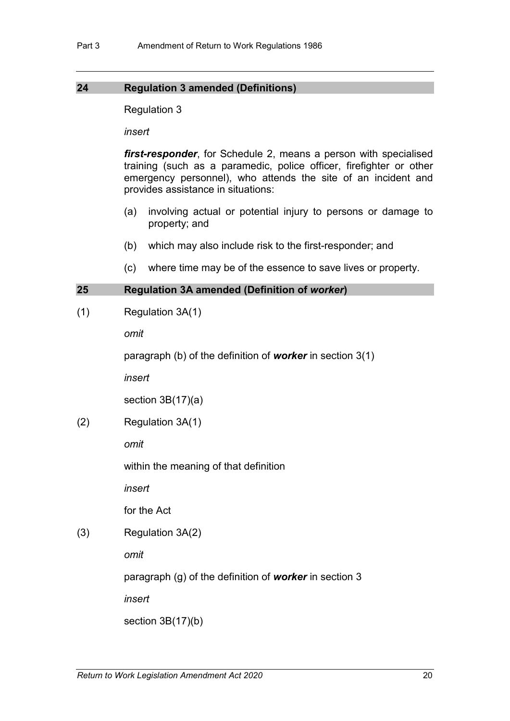## **24 Regulation 3 amended (Definitions)**

Regulation 3

*insert*

*first-responder*, for Schedule 2, means a person with specialised training (such as a paramedic, police officer, firefighter or other emergency personnel), who attends the site of an incident and provides assistance in situations:

- (a) involving actual or potential injury to persons or damage to property; and
- (b) which may also include risk to the first-responder; and
- (c) where time may be of the essence to save lives or property.

## **25 Regulation 3A amended (Definition of** *worker***)**

(1) Regulation 3A(1)

*omit*

paragraph (b) of the definition of *worker* in section 3(1)

*insert*

section 3B(17)(a)

(2) Regulation 3A(1)

*omit*

within the meaning of that definition

*insert*

for the Act

(3) Regulation 3A(2)

*omit*

paragraph (g) of the definition of *worker* in section 3

*insert*

section 3B(17)(b)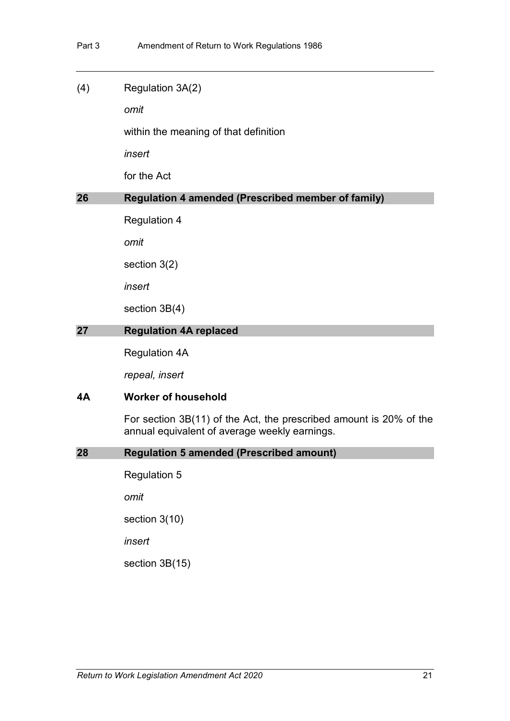### (4) Regulation 3A(2)

*omit*

within the meaning of that definition

*insert*

for the Act

## **26 Regulation 4 amended (Prescribed member of family)**

Regulation 4

*omit*

section 3(2)

*insert*

section 3B(4)

## **27 Regulation 4A replaced**

Regulation 4A

*repeal, insert*

### **4A Worker of household**

For section 3B(11) of the Act, the prescribed amount is 20% of the annual equivalent of average weekly earnings.

### **28 Regulation 5 amended (Prescribed amount)**

Regulation 5

*omit*

section 3(10)

*insert*

section 3B(15)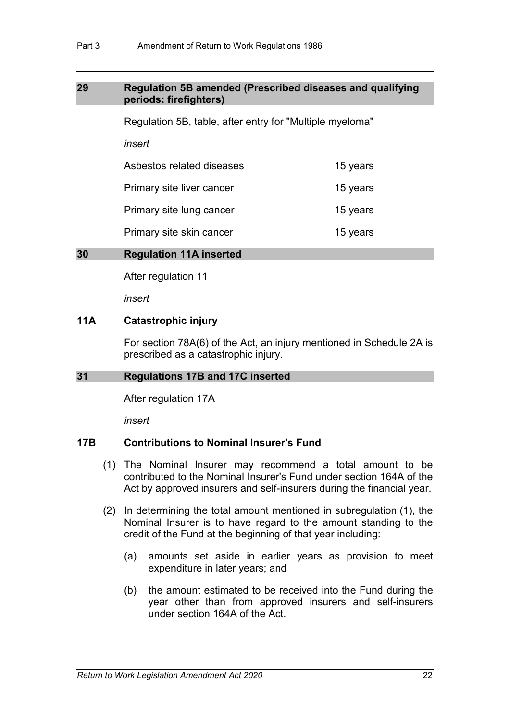## **29 Regulation 5B amended (Prescribed diseases and qualifying periods: firefighters)**

Regulation 5B, table, after entry for "Multiple myeloma"

*insert*

Asbestos related diseases 15 years

Primary site liver cancer **15 years** 

Primary site lung cancer **15 years** 

Primary site skin cancer **15** years

## **30 Regulation 11A inserted**

After regulation 11

*insert*

## **11A Catastrophic injury**

For section 78A(6) of the Act, an injury mentioned in Schedule 2A is prescribed as a catastrophic injury.

## **31 Regulations 17B and 17C inserted**

After regulation 17A

*insert*

## **17B Contributions to Nominal Insurer's Fund**

- (1) The Nominal Insurer may recommend a total amount to be contributed to the Nominal Insurer's Fund under section 164A of the Act by approved insurers and self-insurers during the financial year.
- (2) In determining the total amount mentioned in subregulation (1), the Nominal Insurer is to have regard to the amount standing to the credit of the Fund at the beginning of that year including:
	- (a) amounts set aside in earlier years as provision to meet expenditure in later years; and
	- (b) the amount estimated to be received into the Fund during the year other than from approved insurers and self-insurers under section 164A of the Act.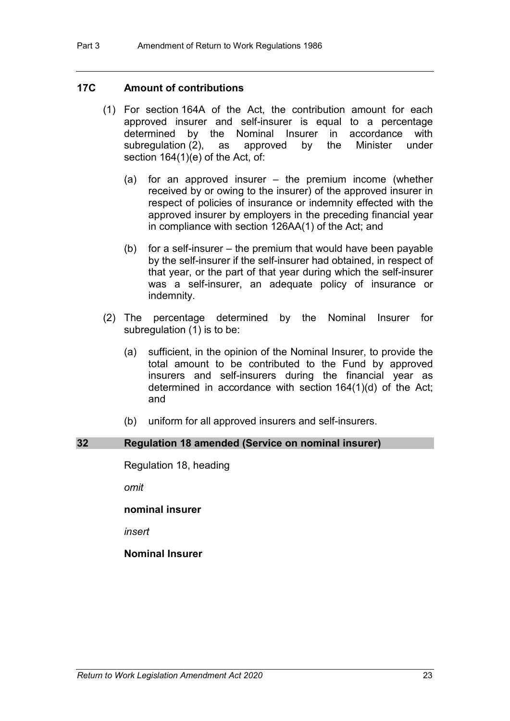## **17C Amount of contributions**

- (1) For section 164A of the Act, the contribution amount for each approved insurer and self-insurer is equal to a percentage determined by the Nominal Insurer in accordance with subregulation (2), as approved by the Minister under subregulation  $(2)$ , as approved by section 164(1)(e) of the Act, of:
	- (a) for an approved insurer the premium income (whether received by or owing to the insurer) of the approved insurer in respect of policies of insurance or indemnity effected with the approved insurer by employers in the preceding financial year in compliance with section 126AA(1) of the Act; and
	- (b) for a self-insurer the premium that would have been payable by the self-insurer if the self-insurer had obtained, in respect of that year, or the part of that year during which the self-insurer was a self-insurer, an adequate policy of insurance or indemnity.
- (2) The percentage determined by the Nominal Insurer for subregulation (1) is to be:
	- (a) sufficient, in the opinion of the Nominal Insurer, to provide the total amount to be contributed to the Fund by approved insurers and self-insurers during the financial year as determined in accordance with section 164(1)(d) of the Act; and
	- (b) uniform for all approved insurers and self-insurers.

### **32 Regulation 18 amended (Service on nominal insurer)**

Regulation 18, heading

*omit*

**nominal insurer**

*insert*

## **Nominal Insurer**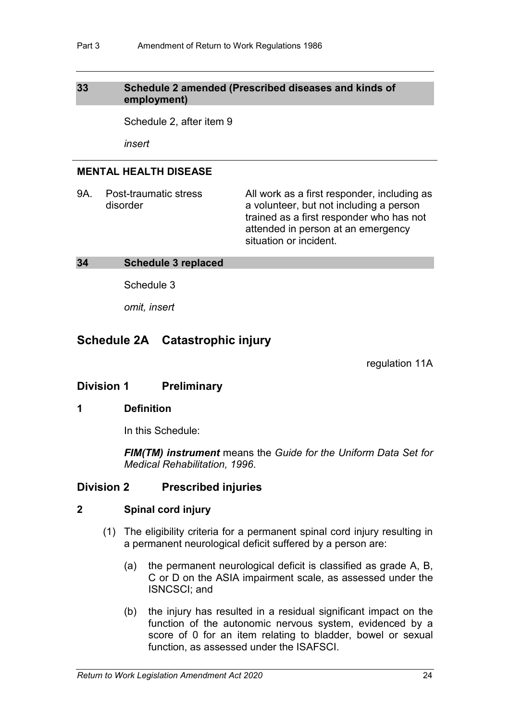## **33 Schedule 2 amended (Prescribed diseases and kinds of employment)**

Schedule 2, after item 9

*insert*

## **MENTAL HEALTH DISEASE**

9A. Post-traumatic stress disorder All work as a first responder, including as a volunteer, but not including a person trained as a first responder who has not attended in person at an emergency situation or incident.

## **34 Schedule 3 replaced**

Schedule 3

*omit, insert*

## **Schedule 2A Catastrophic injury**

regulation 11A

## **Division 1 Preliminary**

### **1 Definition**

In this Schedule:

*FIM(TM) instrument* means the *Guide for the Uniform Data Set for Medical Rehabilitation, 1996*.

## **Division 2 Prescribed injuries**

### **2 Spinal cord injury**

- (1) The eligibility criteria for a permanent spinal cord injury resulting in a permanent neurological deficit suffered by a person are:
	- (a) the permanent neurological deficit is classified as grade A, B, C or D on the ASIA impairment scale, as assessed under the ISNCSCI; and
	- (b) the injury has resulted in a residual significant impact on the function of the autonomic nervous system, evidenced by a score of 0 for an item relating to bladder, bowel or sexual function, as assessed under the ISAFSCI.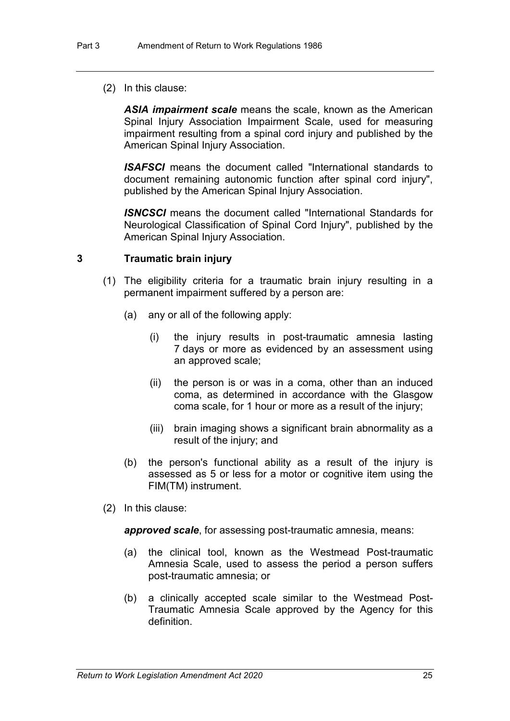(2) In this clause:

*ASIA impairment scale* means the scale, known as the American Spinal Injury Association Impairment Scale, used for measuring impairment resulting from a spinal cord injury and published by the American Spinal Injury Association.

*ISAFSCI* means the document called "International standards to document remaining autonomic function after spinal cord injury", published by the American Spinal Injury Association.

*ISNCSCI* means the document called "International Standards for Neurological Classification of Spinal Cord Injury", published by the American Spinal Injury Association.

## **3 Traumatic brain injury**

- (1) The eligibility criteria for a traumatic brain injury resulting in a permanent impairment suffered by a person are:
	- (a) any or all of the following apply:
		- (i) the injury results in post-traumatic amnesia lasting 7 days or more as evidenced by an assessment using an approved scale;
		- (ii) the person is or was in a coma, other than an induced coma, as determined in accordance with the Glasgow coma scale, for 1 hour or more as a result of the injury;
		- (iii) brain imaging shows a significant brain abnormality as a result of the injury; and
	- (b) the person's functional ability as a result of the injury is assessed as 5 or less for a motor or cognitive item using the FIM(TM) instrument.
- (2) In this clause:

*approved scale*, for assessing post-traumatic amnesia, means:

- (a) the clinical tool, known as the Westmead Post-traumatic Amnesia Scale, used to assess the period a person suffers post-traumatic amnesia; or
- (b) a clinically accepted scale similar to the Westmead Post-Traumatic Amnesia Scale approved by the Agency for this definition.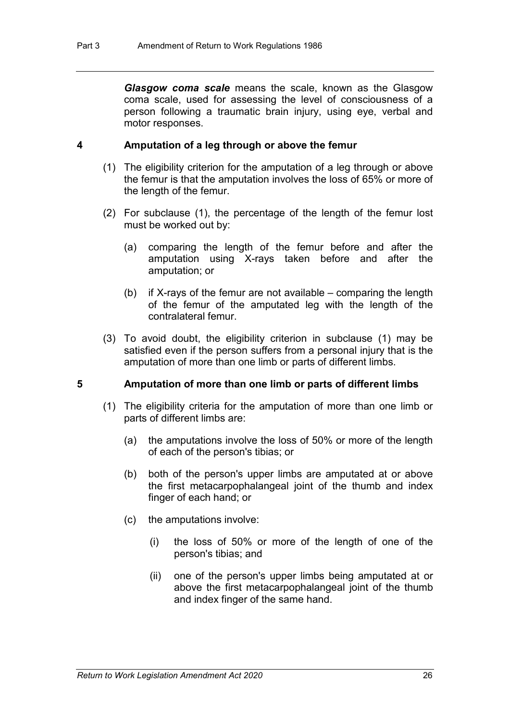*Glasgow coma scale* means the scale, known as the Glasgow coma scale, used for assessing the level of consciousness of a person following a traumatic brain injury, using eye, verbal and motor responses.

## **4 Amputation of a leg through or above the femur**

- (1) The eligibility criterion for the amputation of a leg through or above the femur is that the amputation involves the loss of 65% or more of the length of the femur.
- (2) For subclause (1), the percentage of the length of the femur lost must be worked out by:
	- (a) comparing the length of the femur before and after the amputation using X-rays taken before and after the amputation; or
	- (b) if X-rays of the femur are not available comparing the length of the femur of the amputated leg with the length of the contralateral femur.
- (3) To avoid doubt, the eligibility criterion in subclause (1) may be satisfied even if the person suffers from a personal injury that is the amputation of more than one limb or parts of different limbs.

### **5 Amputation of more than one limb or parts of different limbs**

- (1) The eligibility criteria for the amputation of more than one limb or parts of different limbs are:
	- (a) the amputations involve the loss of 50% or more of the length of each of the person's tibias; or
	- (b) both of the person's upper limbs are amputated at or above the first metacarpophalangeal joint of the thumb and index finger of each hand; or
	- (c) the amputations involve:
		- (i) the loss of 50% or more of the length of one of the person's tibias; and
		- (ii) one of the person's upper limbs being amputated at or above the first metacarpophalangeal joint of the thumb and index finger of the same hand.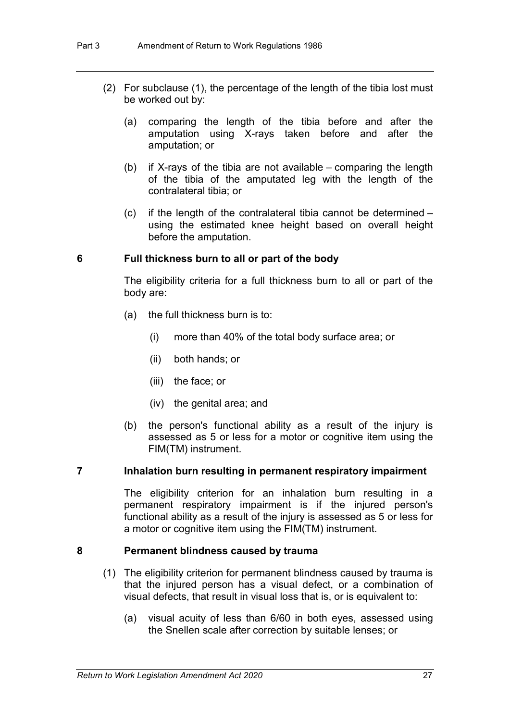- (2) For subclause (1), the percentage of the length of the tibia lost must be worked out by:
	- (a) comparing the length of the tibia before and after the amputation using X-rays taken before and after the amputation; or
	- (b) if X-rays of the tibia are not available comparing the length of the tibia of the amputated leg with the length of the contralateral tibia; or
	- (c) if the length of the contralateral tibia cannot be determined using the estimated knee height based on overall height before the amputation.

## **6 Full thickness burn to all or part of the body**

The eligibility criteria for a full thickness burn to all or part of the body are:

- (a) the full thickness burn is to:
	- (i) more than 40% of the total body surface area; or
	- (ii) both hands; or
	- (iii) the face; or
	- (iv) the genital area; and
- (b) the person's functional ability as a result of the injury is assessed as 5 or less for a motor or cognitive item using the FIM(TM) instrument.

## **7 Inhalation burn resulting in permanent respiratory impairment**

The eligibility criterion for an inhalation burn resulting in a permanent respiratory impairment is if the injured person's functional ability as a result of the injury is assessed as 5 or less for a motor or cognitive item using the FIM(TM) instrument.

#### **8 Permanent blindness caused by trauma**

- (1) The eligibility criterion for permanent blindness caused by trauma is that the injured person has a visual defect, or a combination of visual defects, that result in visual loss that is, or is equivalent to:
	- (a) visual acuity of less than 6/60 in both eyes, assessed using the Snellen scale after correction by suitable lenses; or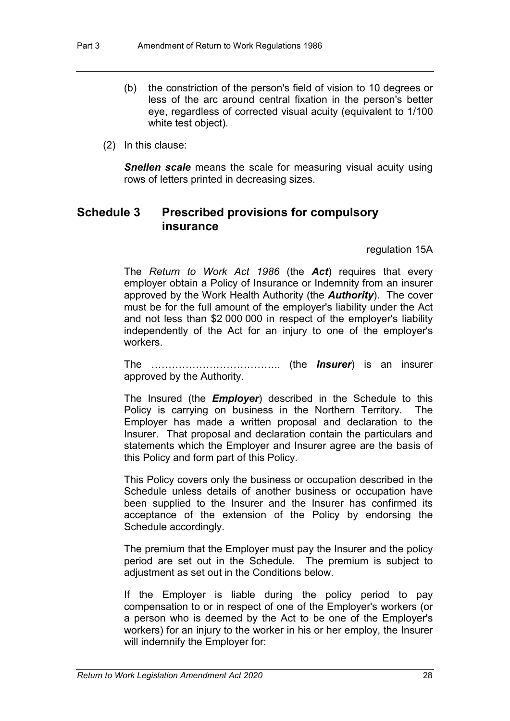- (b) the constriction of the person's field of vision to 10 degrees or less of the arc around central fixation in the person's better eye, regardless of corrected visual acuity (equivalent to 1/100 white test object).
- (2) In this clause:

**Snellen scale** means the scale for measuring visual acuity using rows of letters printed in decreasing sizes.

## **Schedule 3 Prescribed provisions for compulsory insurance**

regulation 15A

The *Return to Work Act 1986* (the *Act*) requires that every employer obtain a Policy of Insurance or Indemnity from an insurer approved by the Work Health Authority (the *Authority*). The cover must be for the full amount of the employer's liability under the Act and not less than \$2 000 000 in respect of the employer's liability independently of the Act for an injury to one of the employer's workers.

The ……………………………….. (the *Insurer*) is an insurer approved by the Authority.

The Insured (the *Employer*) described in the Schedule to this Policy is carrying on business in the Northern Territory. The Employer has made a written proposal and declaration to the Insurer. That proposal and declaration contain the particulars and statements which the Employer and Insurer agree are the basis of this Policy and form part of this Policy.

This Policy covers only the business or occupation described in the Schedule unless details of another business or occupation have been supplied to the Insurer and the Insurer has confirmed its acceptance of the extension of the Policy by endorsing the Schedule accordingly.

The premium that the Employer must pay the Insurer and the policy period are set out in the Schedule. The premium is subject to adjustment as set out in the Conditions below.

If the Employer is liable during the policy period to pay compensation to or in respect of one of the Employer's workers (or a person who is deemed by the Act to be one of the Employer's workers) for an injury to the worker in his or her employ, the Insurer will indemnify the Employer for: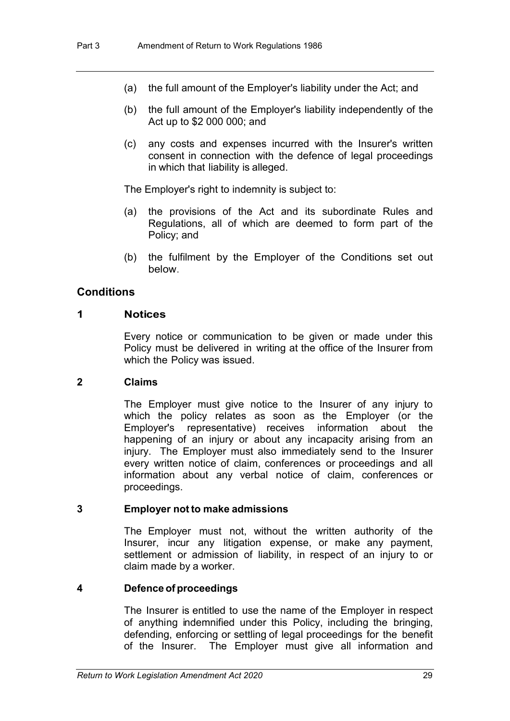- (a) the full amount of the Employer's liability under the Act; and
- (b) the full amount of the Employer's liability independently of the Act up to \$2 000 000; and
- (c) any costs and expenses incurred with the Insurer's written consent in connection with the defence of legal proceedings in which that liability is alleged.

The Employer's right to indemnity is subject to:

- (a) the provisions of the Act and its subordinate Rules and Regulations, all of which are deemed to form part of the Policy; and
- (b) the fulfilment by the Employer of the Conditions set out below.

## **Conditions**

## **1 Notices**

Every notice or communication to be given or made under this Policy must be delivered in writing at the office of the Insurer from which the Policy was issued.

## **2 Claims**

The Employer must give notice to the Insurer of any injury to which the policy relates as soon as the Employer (or the Employer's representative) receives information about the happening of an injury or about any incapacity arising from an injury. The Employer must also immediately send to the Insurer every written notice of claim, conferences or proceedings and all information about any verbal notice of claim, conferences or proceedings.

### **3 Employer not to make admissions**

The Employer must not, without the written authority of the Insurer, incur any litigation expense, or make any payment, settlement or admission of liability, in respect of an injury to or claim made by a worker.

## **4 Defence of proceedings**

The Insurer is entitled to use the name of the Employer in respect of anything indemnified under this Policy, including the bringing, defending, enforcing or settling of legal proceedings for the benefit of the Insurer. The Employer must give all information and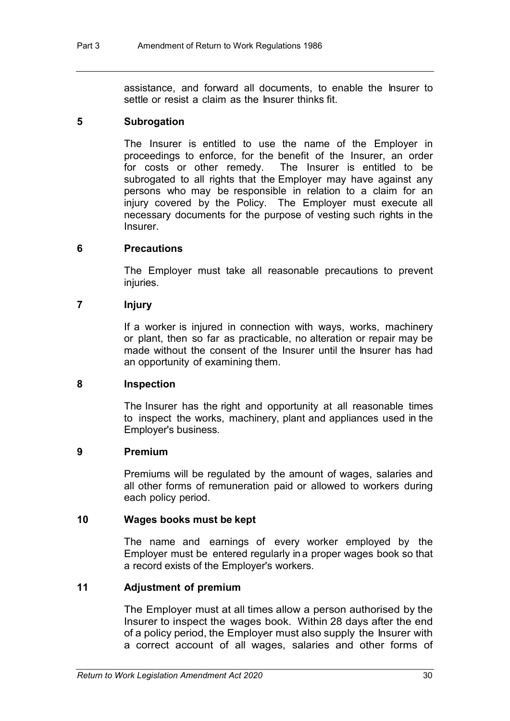assistance, and forward all documents, to enable the Insurer to settle or resist a claim as the Insurer thinks fit.

## **5 Subrogation**

The Insurer is entitled to use the name of the Employer in proceedings to enforce, for the benefit of the Insurer, an order<br>for costs or other remedy. The Insurer is entitled to be The Insurer is entitled to be subrogated to all rights that the Employer may have against any persons who may be responsible in relation to a claim for an injury covered by the Policy. The Employer must execute all necessary documents for the purpose of vesting such rights in the **Insurer** 

## **6 Precautions**

The Employer must take all reasonable precautions to prevent injuries.

## **7 Injury**

If a worker is injured in connection with ways, works, machinery or plant, then so far as practicable, no alteration or repair may be made without the consent of the Insurer until the Insurer has had an opportunity of examining them.

## **8 Inspection**

The Insurer has the right and opportunity at all reasonable times to inspect the works, machinery, plant and appliances used in the Employer's business.

## **9 Premium**

Premiums will be regulated by the amount of wages, salaries and all other forms of remuneration paid or allowed to workers during each policy period.

## **10 Wages books must be kept**

The name and earnings of every worker employed by the Employer must be entered regularly in a proper wages book so that a record exists of the Employer's workers.

## **11 Adjustment of premium**

The Employer must at all times allow a person authorised by the Insurer to inspect the wages book. Within 28 days after the end of a policy period, the Employer must also supply the Insurer with a correct account of all wages, salaries and other forms of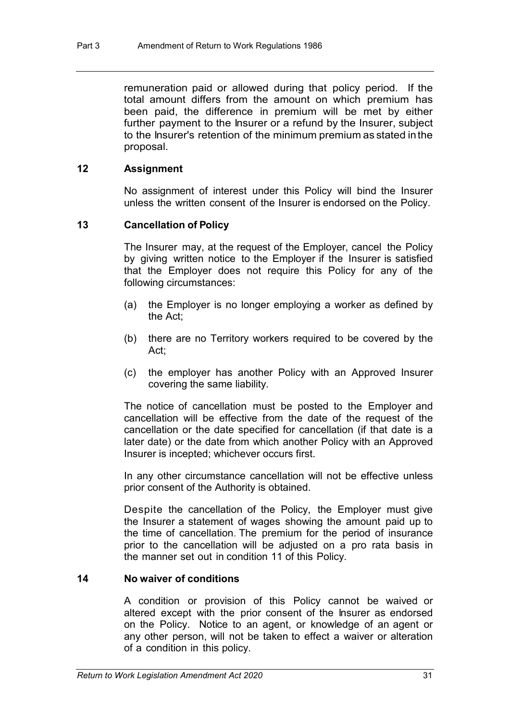remuneration paid or allowed during that policy period. If the total amount differs from the amount on which premium has been paid, the difference in premium will be met by either further payment to the Insurer or a refund by the Insurer, subject to the Insurer's retention of the minimum premium as stated inthe proposal.

## **12 Assignment**

No assignment of interest under this Policy will bind the Insurer unless the written consent of the Insurer is endorsed on the Policy.

## **13 Cancellation of Policy**

The Insurer may, at the request of the Employer, cancel the Policy by giving written notice to the Employer if the Insurer is satisfied that the Employer does not require this Policy for any of the following circumstances:

- (a) the Employer is no longer employing a worker as defined by the Act;
- (b) there are no Territory workers required to be covered by the Act;
- (c) the employer has another Policy with an Approved Insurer covering the same liability.

The notice of cancellation must be posted to the Employer and cancellation will be effective from the date of the request of the cancellation or the date specified for cancellation (if that date is a later date) or the date from which another Policy with an Approved Insurer is incepted; whichever occurs first.

In any other circumstance cancellation will not be effective unless prior consent of the Authority is obtained.

Despite the cancellation of the Policy, the Employer must give the Insurer a statement of wages showing the amount paid up to the time of cancellation. The premium for the period of insurance prior to the cancellation will be adjusted on a pro rata basis in the manner set out in condition 11 of this Policy.

## **14 No waiver of conditions**

A condition or provision of this Policy cannot be waived or altered except with the prior consent of the Insurer as endorsed on the Policy. Notice to an agent, or knowledge of an agent or any other person, will not be taken to effect a waiver or alteration of a condition in this policy.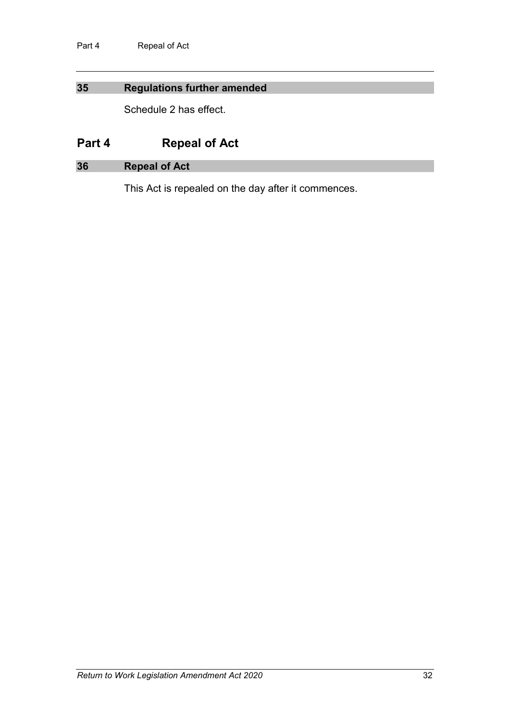## **35 Regulations further amended**

Schedule 2 has effect.

# **Part 4 Repeal of Act**

## **36 Repeal of Act**

This Act is repealed on the day after it commences.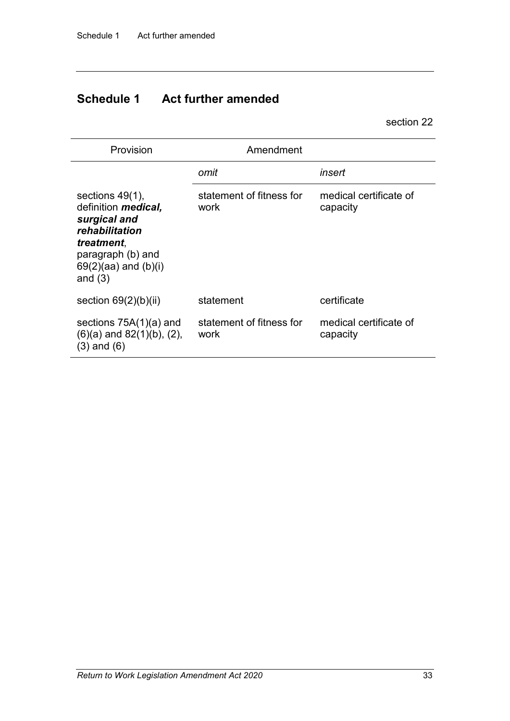# **Schedule 1 Act further amended**

section 22

| Provision                                                                                                                                                       | Amendment                        |                                    |
|-----------------------------------------------------------------------------------------------------------------------------------------------------------------|----------------------------------|------------------------------------|
|                                                                                                                                                                 | omit                             | insert                             |
| sections $49(1)$ ,<br>definition <i>medical</i> ,<br>surgical and<br>rehabilitation<br>treatment,<br>paragraph (b) and<br>$69(2)(aa)$ and $(b)(i)$<br>and $(3)$ | statement of fitness for<br>work | medical certificate of<br>capacity |
| section $69(2)(b)(ii)$                                                                                                                                          | statement                        | certificate                        |
| sections $75A(1)(a)$ and<br>$(6)(a)$ and $82(1)(b)$ , $(2)$ ,<br>$(3)$ and $(6)$                                                                                | statement of fitness for<br>work | medical certificate of<br>capacity |